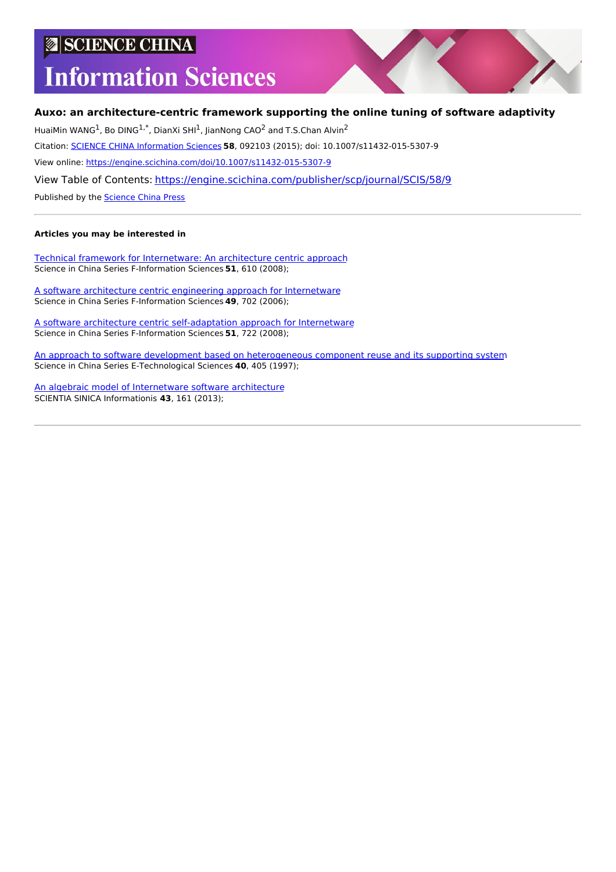# **SCIENCE CHINA**

# **Information Sciences**



# **Auxo: an architecture-centric framework supporting the online tuning of software adaptivity**

HuaiMin WANG<sup>1</sup>, Bo DING<sup>1,\*</sup>, DianXi SHI<sup>1</sup>, JianNong CAO<sup>2</sup> and T.S.Chan Alvin<sup>2</sup>

Citation: SCIENCE CHINA [Information](https://engine.scichina.com/publisher/scp/journal/SCIS) Sciences **58**, 092103 (2015); doi: 10.1007/s11432-015-5307-9

View online: <https://engine.scichina.com/doi/10.1007/s11432-015-5307-9>

View Table of Contents: <https://engine.scichina.com/publisher/scp/journal/SCIS/58/9>

Published by the [Science](https://engine.scichina.com/publisher/scp) China Press

# **Articles you may be interested in**

Technical framework for [Internetware:](https://engine.scichina.com/doi/10.1007/s11432-008-0051-z) An architecture centric approach Science in China Series F-Information Sciences **51**, 610 (2008);

A software architecture centric engineering approach for [Internetware](https://engine.scichina.com/doi/10.1007/s11432-006-2027-1) Science in China Series F-Information Sciences **49**, 702 (2006);

A software architecture centric [self-adaptation](https://engine.scichina.com/doi/10.1007/s11432-008-0052-y) approach for Internetware Science in China Series F-Information Sciences **51**, 722 (2008);

An approach to software development based on [heterogeneous](https://engine.scichina.com/doi/10.1007/BF02919427) component reuse and its supporting system Science in China Series E-Technological Sciences **40**, 405 (1997);

An algebraic model of [Internetware](https://engine.scichina.com/doi/10.1360/112012-458) software architecture SCIENTIA SINICA Informationis **43**, 161 (2013);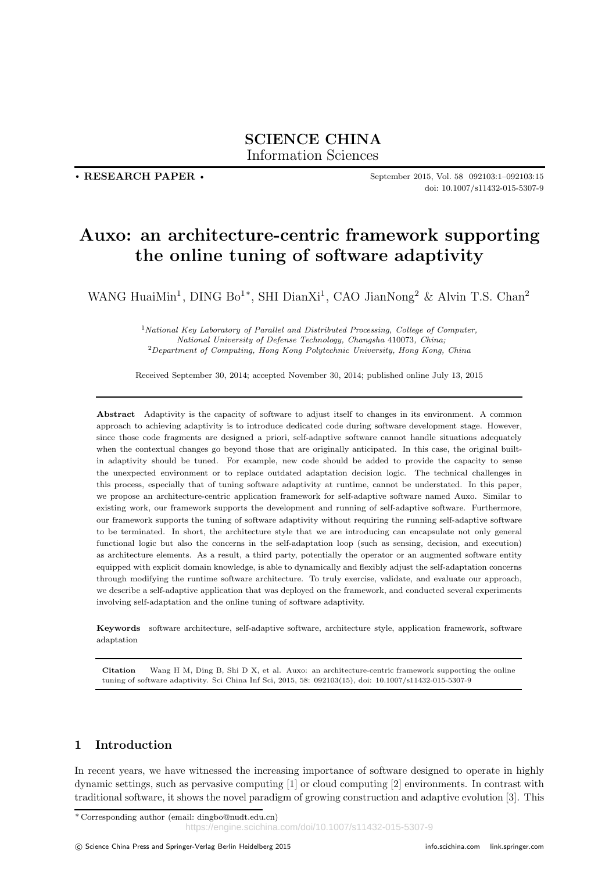. RESEARCH PAPER .

September 2015, Vol. 58 092103:1–092103:15 doi: 10.1007/s11432-015-5307-9

# Auxo: an architecture-centric framework supporting the online tuning of software adaptivity

WANG HuaiMin<sup>1</sup>, DING Bo<sup>1\*</sup>, SHI DianXi<sup>1</sup>, CAO JianNong<sup>2</sup> & Alvin T.S. Chan<sup>2</sup>

<sup>1</sup>National Key Laboratory of Parallel and Distributed Processing, College of Computer, National University of Defense Technology, Changsha 410073, China; <sup>2</sup>Department of Computing, Hong Kong Polytechnic University, Hong Kong, China

Received September 30, 2014; accepted November 30, 2014; published online July 13, 2015

Abstract Adaptivity is the capacity of software to adjust itself to changes in its environment. A common approach to achieving adaptivity is to introduce dedicated code during software development stage. However, since those code fragments are designed a priori, self-adaptive software cannot handle situations adequately when the contextual changes go beyond those that are originally anticipated. In this case, the original builtin adaptivity should be tuned. For example, new code should be added to provide the capacity to sense the unexpected environment or to replace outdated adaptation decision logic. The technical challenges in this process, especially that of tuning software adaptivity at runtime, cannot be understated. In this paper, we propose an architecture-centric application framework for self-adaptive software named Auxo. Similar to existing work, our framework supports the development and running of self-adaptive software. Furthermore, our framework supports the tuning of software adaptivity without requiring the running self-adaptive software to be terminated. In short, the architecture style that we are introducing can encapsulate not only general functional logic but also the concerns in the self-adaptation loop (such as sensing, decision, and execution) as architecture elements. As a result, a third party, potentially the operator or an augmented software entity equipped with explicit domain knowledge, is able to dynamically and flexibly adjust the self-adaptation concerns through modifying the runtime software architecture. To truly exercise, validate, and evaluate our approach, we describe a self-adaptive application that was deployed on the framework, and conducted several experiments involving self-adaptation and the online tuning of software adaptivity.

Keywords software architecture, self-adaptive software, architecture style, application framework, software adaptation

Citation Wang H M, Ding B, Shi D X, et al. Auxo: an architecture-centric framework supporting the online tuning of software adaptivity. Sci China Inf Sci, 2015, 58: 092103(15), doi: 10.1007/s11432-015-5307-9

# 1 Introduction

In recent years, we have witnessed the increasing importance of software designed to operate in highly dynamic settings, such as pervasive computing [1] or cloud computing [2] environments. In contrast with traditional software, it shows the novel paradigm of growing construction and adaptive evolution [3]. This

<sup>\*</sup> Corresponding author (email: dingbo@nudt.edu.cn)

https://engine.scichina.com/doi/10.1007/s11432-015-5307-9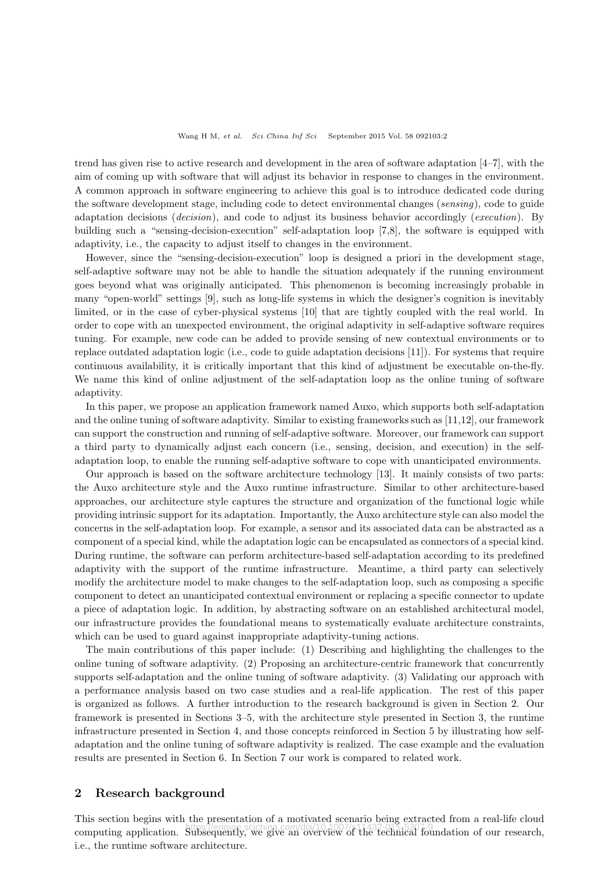trend has given rise to active research and development in the area of software adaptation [4–7], with the aim of coming up with software that will adjust its behavior in response to changes in the environment. A common approach in software engineering to achieve this goal is to introduce dedicated code during the software development stage, including code to detect environmental changes (sensing), code to guide adaptation decisions (*decision*), and code to adjust its business behavior accordingly (*execution*). By building such a "sensing-decision-execution" self-adaptation loop [7,8], the software is equipped with adaptivity, i.e., the capacity to adjust itself to changes in the environment.

However, since the "sensing-decision-execution" loop is designed a priori in the development stage, self-adaptive software may not be able to handle the situation adequately if the running environment goes beyond what was originally anticipated. This phenomenon is becoming increasingly probable in many "open-world" settings [9], such as long-life systems in which the designer's cognition is inevitably limited, or in the case of cyber-physical systems [10] that are tightly coupled with the real world. In order to cope with an unexpected environment, the original adaptivity in self-adaptive software requires tuning. For example, new code can be added to provide sensing of new contextual environments or to replace outdated adaptation logic (i.e., code to guide adaptation decisions [11]). For systems that require continuous availability, it is critically important that this kind of adjustment be executable on-the-fly. We name this kind of online adjustment of the self-adaptation loop as the online tuning of software adaptivity.

In this paper, we propose an application framework named Auxo, which supports both self-adaptation and the online tuning of software adaptivity. Similar to existing frameworks such as [11,12], our framework can support the construction and running of self-adaptive software. Moreover, our framework can support a third party to dynamically adjust each concern (i.e., sensing, decision, and execution) in the selfadaptation loop, to enable the running self-adaptive software to cope with unanticipated environments.

Our approach is based on the software architecture technology [13]. It mainly consists of two parts: the Auxo architecture style and the Auxo runtime infrastructure. Similar to other architecture-based approaches, our architecture style captures the structure and organization of the functional logic while providing intrinsic support for its adaptation. Importantly, the Auxo architecture style can also model the concerns in the self-adaptation loop. For example, a sensor and its associated data can be abstracted as a component of a special kind, while the adaptation logic can be encapsulated as connectors of a special kind. During runtime, the software can perform architecture-based self-adaptation according to its predefined adaptivity with the support of the runtime infrastructure. Meantime, a third party can selectively modify the architecture model to make changes to the self-adaptation loop, such as composing a specific component to detect an unanticipated contextual environment or replacing a specific connector to update a piece of adaptation logic. In addition, by abstracting software on an established architectural model, our infrastructure provides the foundational means to systematically evaluate architecture constraints, which can be used to guard against inappropriate adaptivity-tuning actions.

The main contributions of this paper include: (1) Describing and highlighting the challenges to the online tuning of software adaptivity. (2) Proposing an architecture-centric framework that concurrently supports self-adaptation and the online tuning of software adaptivity. (3) Validating our approach with a performance analysis based on two case studies and a real-life application. The rest of this paper is organized as follows. A further introduction to the research background is given in Section 2. Our framework is presented in Sections 3–5, with the architecture style presented in Section 3, the runtime infrastructure presented in Section 4, and those concepts reinforced in Section 5 by illustrating how selfadaptation and the online tuning of software adaptivity is realized. The case example and the evaluation results are presented in Section 6. In Section 7 our work is compared to related work.

## 2 Research background

This section begins with the presentation of a motivated scenario being extracted from a real-life cloud computing application. Subsequently, we give an overview of the technical foundation of our research, i.e., the runtime software architecture.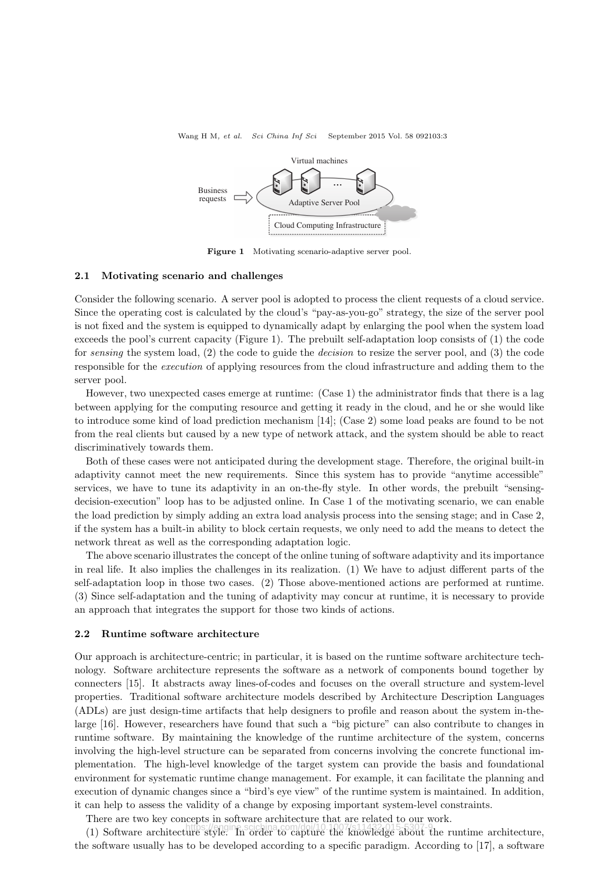

Figure 1 Motivating scenario-adaptive server pool.

#### 2.1 Motivating scenario and challenges

Consider the following scenario. A server pool is adopted to process the client requests of a cloud service. Since the operating cost is calculated by the cloud's "pay-as-you-go" strategy, the size of the server pool is not fixed and the system is equipped to dynamically adapt by enlarging the pool when the system load exceeds the pool's current capacity (Figure 1). The prebuilt self-adaptation loop consists of (1) the code for sensing the system load, (2) the code to guide the decision to resize the server pool, and (3) the code responsible for the execution of applying resources from the cloud infrastructure and adding them to the server pool.

However, two unexpected cases emerge at runtime: (Case 1) the administrator finds that there is a lag between applying for the computing resource and getting it ready in the cloud, and he or she would like to introduce some kind of load prediction mechanism [14]; (Case 2) some load peaks are found to be not from the real clients but caused by a new type of network attack, and the system should be able to react discriminatively towards them.

Both of these cases were not anticipated during the development stage. Therefore, the original built-in adaptivity cannot meet the new requirements. Since this system has to provide "anytime accessible" services, we have to tune its adaptivity in an on-the-fly style. In other words, the prebuilt "sensingdecision-execution" loop has to be adjusted online. In Case 1 of the motivating scenario, we can enable the load prediction by simply adding an extra load analysis process into the sensing stage; and in Case 2, if the system has a built-in ability to block certain requests, we only need to add the means to detect the network threat as well as the corresponding adaptation logic.

The above scenario illustrates the concept of the online tuning of software adaptivity and its importance in real life. It also implies the challenges in its realization. (1) We have to adjust different parts of the self-adaptation loop in those two cases. (2) Those above-mentioned actions are performed at runtime. (3) Since self-adaptation and the tuning of adaptivity may concur at runtime, it is necessary to provide an approach that integrates the support for those two kinds of actions.

#### 2.2 Runtime software architecture

Our approach is architecture-centric; in particular, it is based on the runtime software architecture technology. Software architecture represents the software as a network of components bound together by connecters [15]. It abstracts away lines-of-codes and focuses on the overall structure and system-level properties. Traditional software architecture models described by Architecture Description Languages (ADLs) are just design-time artifacts that help designers to profile and reason about the system in-thelarge [16]. However, researchers have found that such a "big picture" can also contribute to changes in runtime software. By maintaining the knowledge of the runtime architecture of the system, concerns involving the high-level structure can be separated from concerns involving the concrete functional implementation. The high-level knowledge of the target system can provide the basis and foundational environment for systematic runtime change management. For example, it can facilitate the planning and execution of dynamic changes since a "bird's eye view" of the runtime system is maintained. In addition, it can help to assess the validity of a change by exposing important system-level constraints.

There are two key concepts in software architecture that are related to our work.

(1) Software architecture style. In order to capture the knowledge about the runtime architecture, the software usually has to be developed according to a specific paradigm. According to [17], a software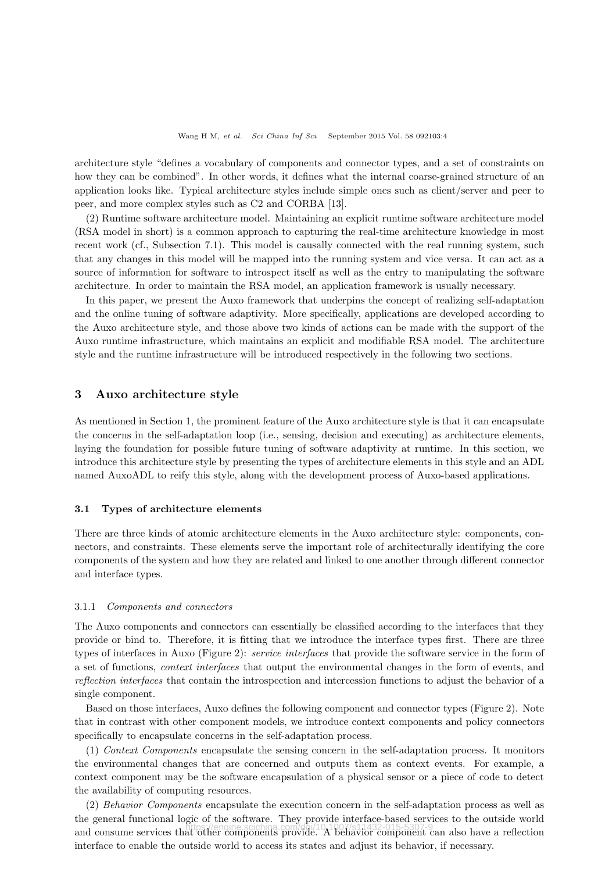architecture style "defines a vocabulary of components and connector types, and a set of constraints on how they can be combined". In other words, it defines what the internal coarse-grained structure of an application looks like. Typical architecture styles include simple ones such as client/server and peer to peer, and more complex styles such as C2 and CORBA [13].

(2) Runtime software architecture model. Maintaining an explicit runtime software architecture model (RSA model in short) is a common approach to capturing the real-time architecture knowledge in most recent work (cf., Subsection 7.1). This model is causally connected with the real running system, such that any changes in this model will be mapped into the running system and vice versa. It can act as a source of information for software to introspect itself as well as the entry to manipulating the software architecture. In order to maintain the RSA model, an application framework is usually necessary.

In this paper, we present the Auxo framework that underpins the concept of realizing self-adaptation and the online tuning of software adaptivity. More specifically, applications are developed according to the Auxo architecture style, and those above two kinds of actions can be made with the support of the Auxo runtime infrastructure, which maintains an explicit and modifiable RSA model. The architecture style and the runtime infrastructure will be introduced respectively in the following two sections.

# 3 Auxo architecture style

As mentioned in Section 1, the prominent feature of the Auxo architecture style is that it can encapsulate the concerns in the self-adaptation loop (i.e., sensing, decision and executing) as architecture elements, laying the foundation for possible future tuning of software adaptivity at runtime. In this section, we introduce this architecture style by presenting the types of architecture elements in this style and an ADL named AuxoADL to reify this style, along with the development process of Auxo-based applications.

#### 3.1 Types of architecture elements

There are three kinds of atomic architecture elements in the Auxo architecture style: components, connectors, and constraints. These elements serve the important role of architecturally identifying the core components of the system and how they are related and linked to one another through different connector and interface types.

#### 3.1.1 Components and connectors

The Auxo components and connectors can essentially be classified according to the interfaces that they provide or bind to. Therefore, it is fitting that we introduce the interface types first. There are three types of interfaces in Auxo (Figure 2): service interfaces that provide the software service in the form of a set of functions, context interfaces that output the environmental changes in the form of events, and reflection interfaces that contain the introspection and intercession functions to adjust the behavior of a single component.

Based on those interfaces, Auxo defines the following component and connector types (Figure 2). Note that in contrast with other component models, we introduce context components and policy connectors specifically to encapsulate concerns in the self-adaptation process.

(1) Context Components encapsulate the sensing concern in the self-adaptation process. It monitors the environmental changes that are concerned and outputs them as context events. For example, a context component may be the software encapsulation of a physical sensor or a piece of code to detect the availability of computing resources.

(2) Behavior Components encapsulate the execution concern in the self-adaptation process as well as the general functional logic of the software. They provide interface-based services to the outside world and consume services that other components provide. A behavior component can also have a reflection<br>and consume services that other components provide. A behavior component can also have a reflection interface to enable the outside world to access its states and adjust its behavior, if necessary.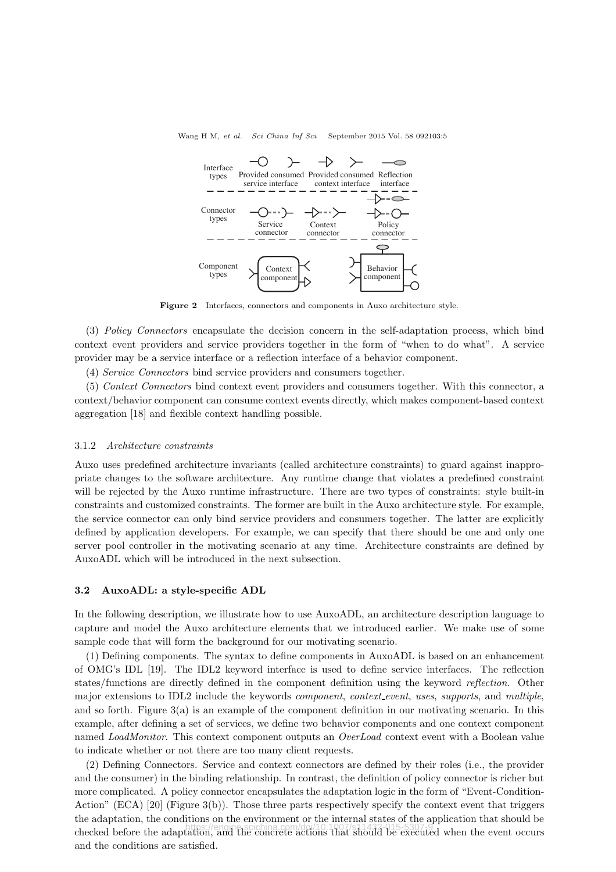Wang H M, et al. Sci China Inf Sci September 2015 Vol. 58 092103:5



Figure 2 Interfaces, connectors and components in Auxo architecture style.

(3) Policy Connectors encapsulate the decision concern in the self-adaptation process, which bind context event providers and service providers together in the form of "when to do what". A service provider may be a service interface or a reflection interface of a behavior component.

(4) Service Connectors bind service providers and consumers together.

(5) Context Connectors bind context event providers and consumers together. With this connector, a context/behavior component can consume context events directly, which makes component-based context aggregation [18] and flexible context handling possible.

#### 3.1.2 Architecture constraints

Auxo uses predefined architecture invariants (called architecture constraints) to guard against inappropriate changes to the software architecture. Any runtime change that violates a predefined constraint will be rejected by the Auxo runtime infrastructure. There are two types of constraints: style built-in constraints and customized constraints. The former are built in the Auxo architecture style. For example, the service connector can only bind service providers and consumers together. The latter are explicitly defined by application developers. For example, we can specify that there should be one and only one server pool controller in the motivating scenario at any time. Architecture constraints are defined by AuxoADL which will be introduced in the next subsection.

#### 3.2 AuxoADL: a style-specific ADL

In the following description, we illustrate how to use AuxoADL, an architecture description language to capture and model the Auxo architecture elements that we introduced earlier. We make use of some sample code that will form the background for our motivating scenario.

(1) Defining components. The syntax to define components in AuxoADL is based on an enhancement of OMG's IDL [19]. The IDL2 keyword interface is used to define service interfaces. The reflection states/functions are directly defined in the component definition using the keyword reflection. Other major extensions to IDL2 include the keywords *component*, *context\_event*, uses, *supports*, and *multiple*, and so forth. Figure 3(a) is an example of the component definition in our motivating scenario. In this example, after defining a set of services, we define two behavior components and one context component named LoadMonitor. This context component outputs an OverLoad context event with a Boolean value to indicate whether or not there are too many client requests.

(2) Defining Connectors. Service and context connectors are defined by their roles (i.e., the provider and the consumer) in the binding relationship. In contrast, the definition of policy connector is richer but more complicated. A policy connector encapsulates the adaptation logic in the form of "Event-Condition-Action" (ECA) [20] (Figure 3(b)). Those three parts respectively specify the context event that triggers the adaptation, the conditions on the environment or the internal states of the application that should be checked before the adaptation, and the concrete actions that should be executed when the event occurs and the conditions are satisfied.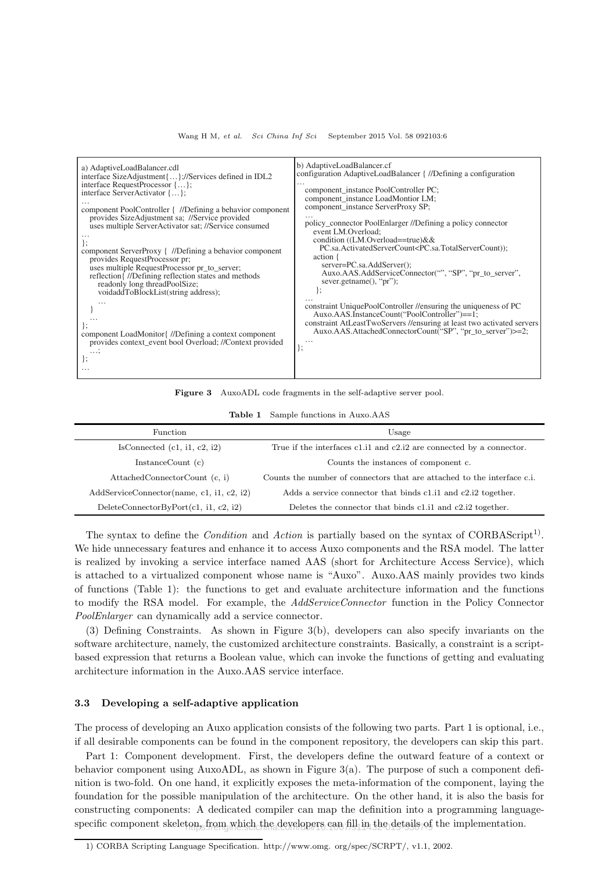| a) AdaptiveLoadBalancer.cdl<br>interface SizeAdjustment{};//Services defined in IDL2<br>interface RequestProcessor {};<br>interface ServerActivator {};<br>component PoolController { //Defining a behavior component<br>provides SizeAdjustment sa; //Service provided<br>uses multiple ServerActivator sat; //Service consumed<br>};<br>component ServerProxy { //Defining a behavior component<br>provides RequestProcessor pr;<br>uses multiple RequestProcessor pr_to_server;<br>reflection <i>[ //Defining reflection states and methods</i><br>readonly long threadPoolSize;<br>voidaddToBlockList(string address); | b) AdaptiveLoadBalancer.cf<br>configuration AdaptiveLoadBalancer { //Defining a configuration<br>component_instance PoolController PC;<br>component_instance LoadMontior LM;<br>component_instance ServerProxy SP;<br>policy_connector PoolEnlarger //Defining a policy connector<br>event LM.Overload;<br>condition ((LM.Overload==true) & &<br>PC.sa.ActivatedServerCount <pc.sa.totalservercount));<br>action {<br/>server=PC.sa.AddServer();<br/>Auxo.AAS.AddServiceConnector("", "SP", "pr_to_server",<br/>sever.getname<math>(</math>), "<math>pr</math>"<math>)</math>;</pc.sa.totalservercount));<br> |
|----------------------------------------------------------------------------------------------------------------------------------------------------------------------------------------------------------------------------------------------------------------------------------------------------------------------------------------------------------------------------------------------------------------------------------------------------------------------------------------------------------------------------------------------------------------------------------------------------------------------------|---------------------------------------------------------------------------------------------------------------------------------------------------------------------------------------------------------------------------------------------------------------------------------------------------------------------------------------------------------------------------------------------------------------------------------------------------------------------------------------------------------------------------------------------------------------------------------------------------------------|
| component LoadMonitor{//Defining a context component<br>provides context event bool Overload; //Context provided<br>.                                                                                                                                                                                                                                                                                                                                                                                                                                                                                                      | constraint UniquePoolController //ensuring the uniqueness of PC<br>Auxo.AAS.InstanceCount("PoolController")==1;<br>constraint AtLeastTwoServers //ensuring at least two activated servers<br>Auxo.AAS.AttachedConnectorCount("SP", "pr_to_server")>=2;<br>ì,                                                                                                                                                                                                                                                                                                                                                  |

Figure 3 AuxoADL code fragments in the self-adaptive server pool.

| <b>Function</b>                           | Usage                                                                   |
|-------------------------------------------|-------------------------------------------------------------------------|
| IsConnected $(c1, i1, c2, i2)$            | True if the interfaces c1.i1 and c2.i2 are connected by a connector.    |
| Instance Count $(c)$                      | Counts the instances of component c.                                    |
| AttachedConnectorCount (c, i)             | Counts the number of connectors that are attached to the interface c.i. |
| AddServiceConnector(name, c1, i1, c2, i2) | Adds a service connector that binds c1.11 and c2.12 together.           |
| DeleteConnectorByPort(c1, i1, c2, i2)     | Deletes the connector that binds c1.i1 and c2.i2 together.              |

Table 1 Sample functions in Auxo.AAS

The syntax to define the *Condition* and *Action* is partially based on the syntax of CORBAScript<sup>1</sup>. We hide unnecessary features and enhance it to access Auxo components and the RSA model. The latter is realized by invoking a service interface named AAS (short for Architecture Access Service), which is attached to a virtualized component whose name is "Auxo". Auxo.AAS mainly provides two kinds of functions (Table 1): the functions to get and evaluate architecture information and the functions to modify the RSA model. For example, the *AddServiceConnector* function in the Policy Connector PoolEnlarger can dynamically add a service connector.

(3) Defining Constraints. As shown in Figure 3(b), developers can also specify invariants on the software architecture, namely, the customized architecture constraints. Basically, a constraint is a scriptbased expression that returns a Boolean value, which can invoke the functions of getting and evaluating architecture information in the Auxo.AAS service interface.

#### 3.3 Developing a self-adaptive application

The process of developing an Auxo application consists of the following two parts. Part 1 is optional, i.e., if all desirable components can be found in the component repository, the developers can skip this part.

Part 1: Component development. First, the developers define the outward feature of a context or behavior component using AuxoADL, as shown in Figure 3(a). The purpose of such a component definition is two-fold. On one hand, it explicitly exposes the meta-information of the component, laying the foundation for the possible manipulation of the architecture. On the other hand, it is also the basis for constructing components: A dedicated compiler can map the definition into a programming language $specific component\;skeleton, from which the developers can fill in the details of the implementation.$ 

<sup>1)</sup> CORBA Scripting Language Specification. http://www.omg. org/spec/SCRPT/, v1.1, 2002.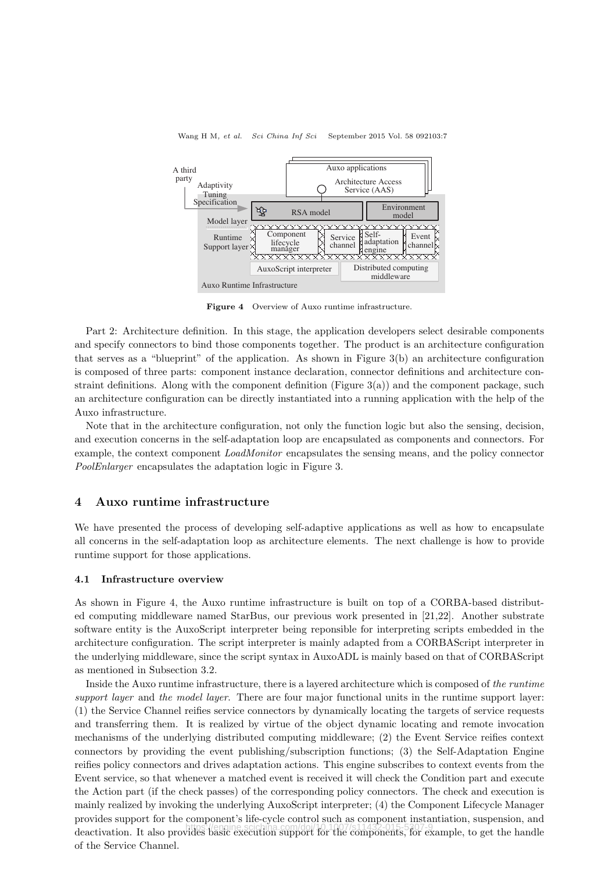

Wang H M, et al. Sci China Inf Sci September 2015 Vol. 58 092103:7

Figure 4 Overview of Auxo runtime infrastructure.

Part 2: Architecture definition. In this stage, the application developers select desirable components and specify connectors to bind those components together. The product is an architecture configuration that serves as a "blueprint" of the application. As shown in Figure 3(b) an architecture configuration is composed of three parts: component instance declaration, connector definitions and architecture constraint definitions. Along with the component definition (Figure  $3(a)$ ) and the component package, such an architecture configuration can be directly instantiated into a running application with the help of the Auxo infrastructure.

Note that in the architecture configuration, not only the function logic but also the sensing, decision, and execution concerns in the self-adaptation loop are encapsulated as components and connectors. For example, the context component LoadMonitor encapsulates the sensing means, and the policy connector PoolEnlarger encapsulates the adaptation logic in Figure 3.

## 4 Auxo runtime infrastructure

We have presented the process of developing self-adaptive applications as well as how to encapsulate all concerns in the self-adaptation loop as architecture elements. The next challenge is how to provide runtime support for those applications.

#### 4.1 Infrastructure overview

As shown in Figure 4, the Auxo runtime infrastructure is built on top of a CORBA-based distributed computing middleware named StarBus, our previous work presented in [21,22]. Another substrate software entity is the AuxoScript interpreter being reponsible for interpreting scripts embedded in the architecture configuration. The script interpreter is mainly adapted from a CORBAScript interpreter in the underlying middleware, since the script syntax in AuxoADL is mainly based on that of CORBAScript as mentioned in Subsection 3.2.

Inside the Auxo runtime infrastructure, there is a layered architecture which is composed of the runtime support layer and the model layer. There are four major functional units in the runtime support layer: (1) the Service Channel reifies service connectors by dynamically locating the targets of service requests and transferring them. It is realized by virtue of the object dynamic locating and remote invocation mechanisms of the underlying distributed computing middleware; (2) the Event Service reifies context connectors by providing the event publishing/subscription functions; (3) the Self-Adaptation Engine reifies policy connectors and drives adaptation actions. This engine subscribes to context events from the Event service, so that whenever a matched event is received it will check the Condition part and execute the Action part (if the check passes) of the corresponding policy connectors. The check and execution is mainly realized by invoking the underlying AuxoScript interpreter; (4) the Component Lifecycle Manager provides support for the component's life-cycle control such as component instantiation, suspension, and deactivation. It also provides basic execution support for the components, for example, to get the handle of the Service Channel.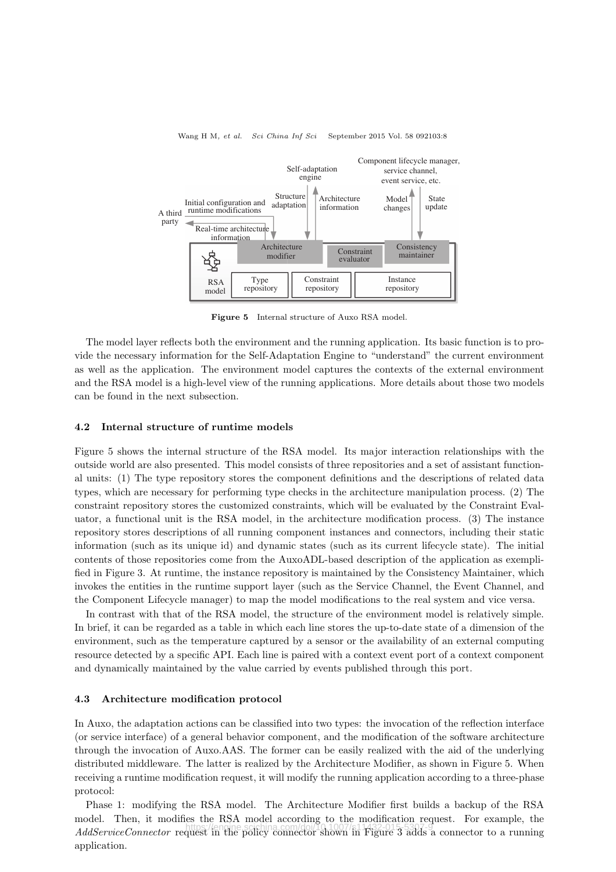

Wang H M, et al. Sci China Inf Sci September 2015 Vol. 58 092103:8

Figure 5 Internal structure of Auxo RSA model.

The model layer reflects both the environment and the running application. Its basic function is to provide the necessary information for the Self-Adaptation Engine to "understand" the current environment as well as the application. The environment model captures the contexts of the external environment and the RSA model is a high-level view of the running applications. More details about those two models can be found in the next subsection.

#### 4.2 Internal structure of runtime models

Figure 5 shows the internal structure of the RSA model. Its major interaction relationships with the outside world are also presented. This model consists of three repositories and a set of assistant functional units: (1) The type repository stores the component definitions and the descriptions of related data types, which are necessary for performing type checks in the architecture manipulation process. (2) The constraint repository stores the customized constraints, which will be evaluated by the Constraint Evaluator, a functional unit is the RSA model, in the architecture modification process. (3) The instance repository stores descriptions of all running component instances and connectors, including their static information (such as its unique id) and dynamic states (such as its current lifecycle state). The initial contents of those repositories come from the AuxoADL-based description of the application as exemplified in Figure 3. At runtime, the instance repository is maintained by the Consistency Maintainer, which invokes the entities in the runtime support layer (such as the Service Channel, the Event Channel, and the Component Lifecycle manager) to map the model modifications to the real system and vice versa.

In contrast with that of the RSA model, the structure of the environment model is relatively simple. In brief, it can be regarded as a table in which each line stores the up-to-date state of a dimension of the environment, such as the temperature captured by a sensor or the availability of an external computing resource detected by a specific API. Each line is paired with a context event port of a context component and dynamically maintained by the value carried by events published through this port.

#### 4.3 Architecture modification protocol

In Auxo, the adaptation actions can be classified into two types: the invocation of the reflection interface (or service interface) of a general behavior component, and the modification of the software architecture through the invocation of Auxo.AAS. The former can be easily realized with the aid of the underlying distributed middleware. The latter is realized by the Architecture Modifier, as shown in Figure 5. When receiving a runtime modification request, it will modify the running application according to a three-phase protocol:

Phase 1: modifying the RSA model. The Architecture Modifier first builds a backup of the RSA model. Then, it modifies the RSA model according to the modification request. For example, the AddServiceConnector request in the policy connector shown in Figure 3 adds a connector to a running application.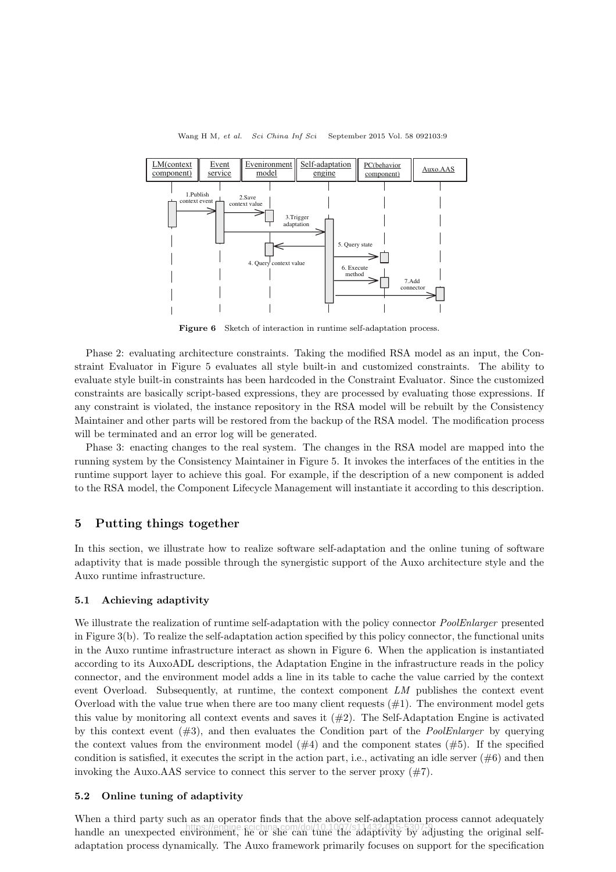

Figure 6 Sketch of interaction in runtime self-adaptation process.

Phase 2: evaluating architecture constraints. Taking the modified RSA model as an input, the Constraint Evaluator in Figure 5 evaluates all style built-in and customized constraints. The ability to evaluate style built-in constraints has been hardcoded in the Constraint Evaluator. Since the customized constraints are basically script-based expressions, they are processed by evaluating those expressions. If any constraint is violated, the instance repository in the RSA model will be rebuilt by the Consistency Maintainer and other parts will be restored from the backup of the RSA model. The modification process will be terminated and an error log will be generated.

Phase 3: enacting changes to the real system. The changes in the RSA model are mapped into the running system by the Consistency Maintainer in Figure 5. It invokes the interfaces of the entities in the runtime support layer to achieve this goal. For example, if the description of a new component is added to the RSA model, the Component Lifecycle Management will instantiate it according to this description.

# 5 Putting things together

In this section, we illustrate how to realize software self-adaptation and the online tuning of software adaptivity that is made possible through the synergistic support of the Auxo architecture style and the Auxo runtime infrastructure.

#### 5.1 Achieving adaptivity

We illustrate the realization of runtime self-adaptation with the policy connector PoolEnlarger presented in Figure 3(b). To realize the self-adaptation action specified by this policy connector, the functional units in the Auxo runtime infrastructure interact as shown in Figure 6. When the application is instantiated according to its AuxoADL descriptions, the Adaptation Engine in the infrastructure reads in the policy connector, and the environment model adds a line in its table to cache the value carried by the context event Overload. Subsequently, at runtime, the context component LM publishes the context event Overload with the value true when there are too many client requests  $(\#1)$ . The environment model gets this value by monitoring all context events and saves it  $(\#2)$ . The Self-Adaptation Engine is activated by this context event  $(\#3)$ , and then evaluates the Condition part of the *PoolEnlarger* by querying the context values from the environment model  $(\#4)$  and the component states  $(\#5)$ . If the specified condition is satisfied, it executes the script in the action part, i.e., activating an idle server  $(\#6)$  and then invoking the Auxo.AAS service to connect this server to the server proxy  $(\#7)$ .

#### 5.2 Online tuning of adaptivity

When a third party such as an operator finds that the above self-adaptation process cannot adequately handle an unexpected environment, he or she can tune the adaptivity by adjusting the original self-<br>https://engine.scichina.com/doi/10.1007/s11432-015-5307-9 adaptation process dynamically. The Auxo framework primarily focuses on support for the specification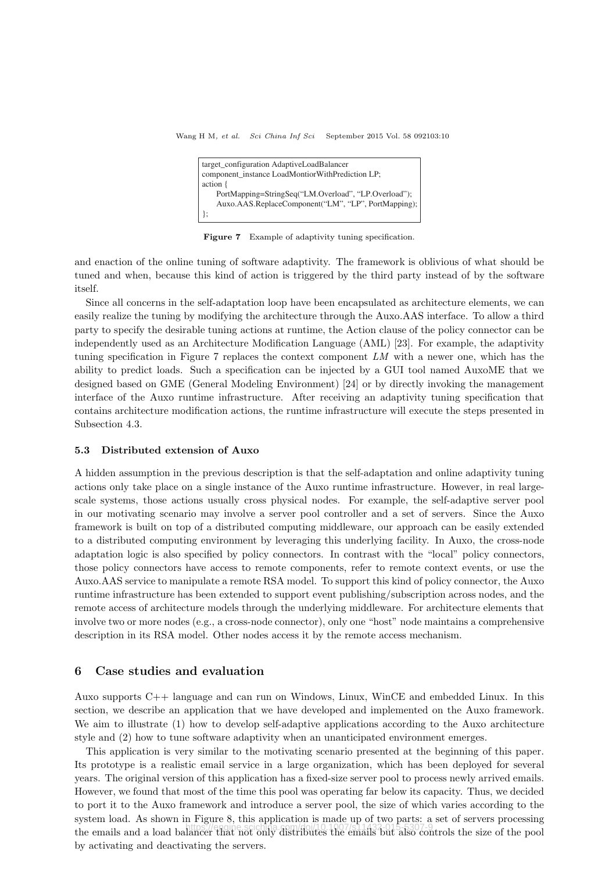Wang H M, et al. Sci China Inf Sci September 2015 Vol. 58 092103:10



Figure 7 Example of adaptivity tuning specification.

and enaction of the online tuning of software adaptivity. The framework is oblivious of what should be tuned and when, because this kind of action is triggered by the third party instead of by the software itself.

Since all concerns in the self-adaptation loop have been encapsulated as architecture elements, we can easily realize the tuning by modifying the architecture through the Auxo.AAS interface. To allow a third party to specify the desirable tuning actions at runtime, the Action clause of the policy connector can be independently used as an Architecture Modification Language (AML) [23]. For example, the adaptivity tuning specification in Figure 7 replaces the context component LM with a newer one, which has the ability to predict loads. Such a specification can be injected by a GUI tool named AuxoME that we designed based on GME (General Modeling Environment) [24] or by directly invoking the management interface of the Auxo runtime infrastructure. After receiving an adaptivity tuning specification that contains architecture modification actions, the runtime infrastructure will execute the steps presented in Subsection 4.3.

#### 5.3 Distributed extension of Auxo

A hidden assumption in the previous description is that the self-adaptation and online adaptivity tuning actions only take place on a single instance of the Auxo runtime infrastructure. However, in real largescale systems, those actions usually cross physical nodes. For example, the self-adaptive server pool in our motivating scenario may involve a server pool controller and a set of servers. Since the Auxo framework is built on top of a distributed computing middleware, our approach can be easily extended to a distributed computing environment by leveraging this underlying facility. In Auxo, the cross-node adaptation logic is also specified by policy connectors. In contrast with the "local" policy connectors, those policy connectors have access to remote components, refer to remote context events, or use the Auxo.AAS service to manipulate a remote RSA model. To support this kind of policy connector, the Auxo runtime infrastructure has been extended to support event publishing/subscription across nodes, and the remote access of architecture models through the underlying middleware. For architecture elements that involve two or more nodes (e.g., a cross-node connector), only one "host" node maintains a comprehensive description in its RSA model. Other nodes access it by the remote access mechanism.

# 6 Case studies and evaluation

Auxo supports C++ language and can run on Windows, Linux, WinCE and embedded Linux. In this section, we describe an application that we have developed and implemented on the Auxo framework. We aim to illustrate (1) how to develop self-adaptive applications according to the Auxo architecture style and (2) how to tune software adaptivity when an unanticipated environment emerges.

This application is very similar to the motivating scenario presented at the beginning of this paper. Its prototype is a realistic email service in a large organization, which has been deployed for several years. The original version of this application has a fixed-size server pool to process newly arrived emails. However, we found that most of the time this pool was operating far below its capacity. Thus, we decided to port it to the Auxo framework and introduce a server pool, the size of which varies according to the system load. As shown in Figure 8, this application is made up of two parts: a set of servers processing the emails and a load balancer that not only distributes the emails but also controls the size of the pool by activating and deactivating the servers.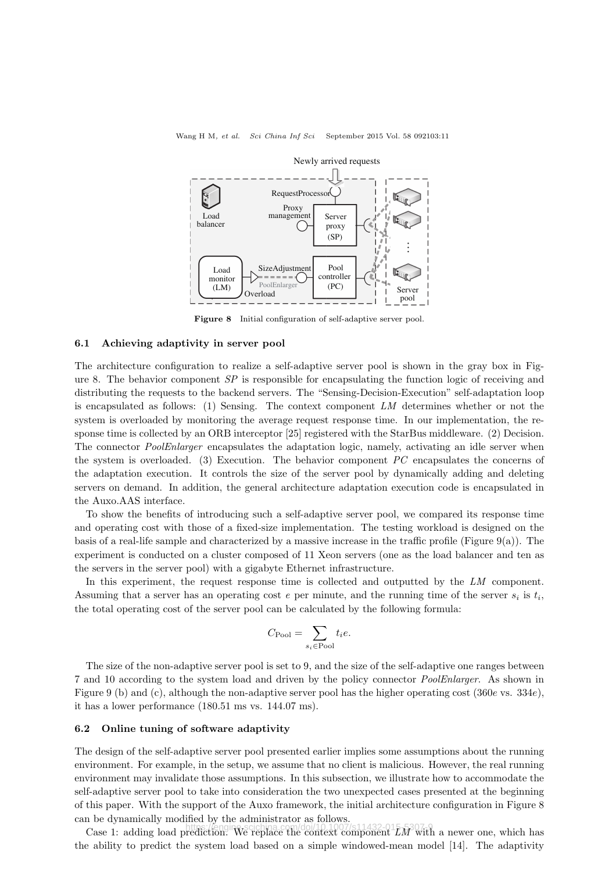#### Wang H M, et al. Sci China Inf Sci September 2015 Vol. 58 092103:11



Figure 8 Initial configuration of self-adaptive server pool.

#### 6.1 Achieving adaptivity in server pool

The architecture configuration to realize a self-adaptive server pool is shown in the gray box in Figure 8. The behavior component  $SP$  is responsible for encapsulating the function logic of receiving and distributing the requests to the backend servers. The "Sensing-Decision-Execution" self-adaptation loop is encapsulated as follows: (1) Sensing. The context component LM determines whether or not the system is overloaded by monitoring the average request response time. In our implementation, the response time is collected by an ORB interceptor [25] registered with the StarBus middleware. (2) Decision. The connector *PoolEnlarger* encapsulates the adaptation logic, namely, activating an idle server when the system is overloaded. (3) Execution. The behavior component  $PC$  encapsulates the concerns of the adaptation execution. It controls the size of the server pool by dynamically adding and deleting servers on demand. In addition, the general architecture adaptation execution code is encapsulated in the Auxo.AAS interface.

To show the benefits of introducing such a self-adaptive server pool, we compared its response time and operating cost with those of a fixed-size implementation. The testing workload is designed on the basis of a real-life sample and characterized by a massive increase in the traffic profile (Figure 9(a)). The experiment is conducted on a cluster composed of 11 Xeon servers (one as the load balancer and ten as the servers in the server pool) with a gigabyte Ethernet infrastructure.

In this experiment, the request response time is collected and outputted by the LM component. Assuming that a server has an operating cost  $e$  per minute, and the running time of the server  $s_i$  is  $t_i$ , the total operating cost of the server pool can be calculated by the following formula:

$$
C_{\text{Pool}} = \sum_{s_i \in \text{Pool}} t_i e.
$$

The size of the non-adaptive server pool is set to 9, and the size of the self-adaptive one ranges between 7 and 10 according to the system load and driven by the policy connector PoolEnlarger. As shown in Figure 9 (b) and (c), although the non-adaptive server pool has the higher operating cost (360e vs. 334e), it has a lower performance (180.51 ms vs. 144.07 ms).

#### 6.2 Online tuning of software adaptivity

The design of the self-adaptive server pool presented earlier implies some assumptions about the running environment. For example, in the setup, we assume that no client is malicious. However, the real running environment may invalidate those assumptions. In this subsection, we illustrate how to accommodate the self-adaptive server pool to take into consideration the two unexpected cases presented at the beginning of this paper. With the support of the Auxo framework, the initial architecture configuration in Figure 8 can be dynamically modified by the administrator as follows.

Case 1: adding load prediction. We replace the context component  $\hat{L}\hat{M}$  with a newer one, which has the ability to predict the system load based on a simple windowed-mean model [14]. The adaptivity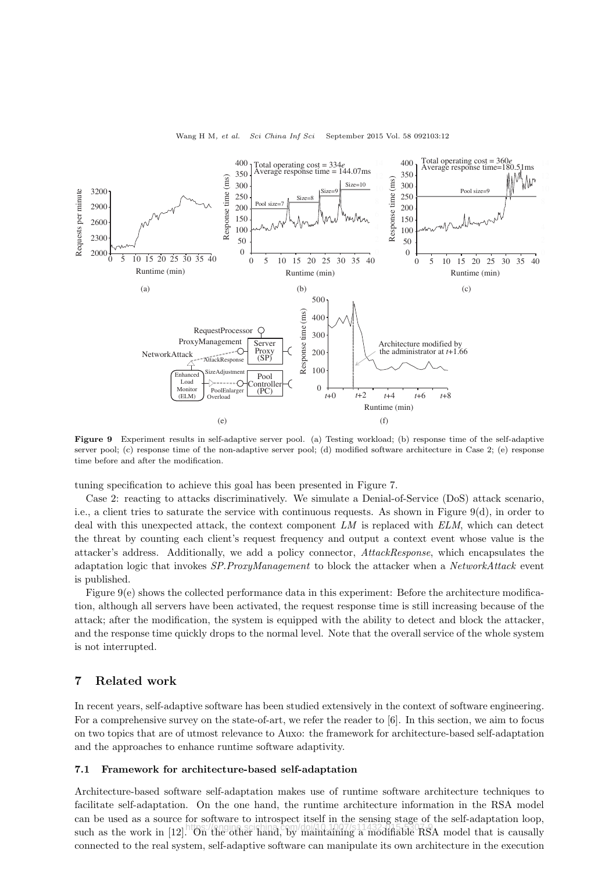

Wang H M, et al. Sci China Inf Sci September 2015 Vol. 58 092103:12

Figure 9 Experiment results in self-adaptive server pool. (a) Testing workload; (b) response time of the self-adaptive server pool; (c) response time of the non-adaptive server pool; (d) modified software architecture in Case 2; (e) response time before and after the modification.

tuning specification to achieve this goal has been presented in Figure 7.

Case 2: reacting to attacks discriminatively. We simulate a Denial-of-Service (DoS) attack scenario, i.e., a client tries to saturate the service with continuous requests. As shown in Figure 9(d), in order to deal with this unexpected attack, the context component LM is replaced with ELM, which can detect the threat by counting each client's request frequency and output a context event whose value is the attacker's address. Additionally, we add a policy connector, AttackResponse, which encapsulates the adaptation logic that invokes SP.ProxyManagement to block the attacker when a NetworkAttack event is published.

Figure 9(e) shows the collected performance data in this experiment: Before the architecture modification, although all servers have been activated, the request response time is still increasing because of the attack; after the modification, the system is equipped with the ability to detect and block the attacker, and the response time quickly drops to the normal level. Note that the overall service of the whole system is not interrupted.

# 7 Related work

In recent years, self-adaptive software has been studied extensively in the context of software engineering. For a comprehensive survey on the state-of-art, we refer the reader to [6]. In this section, we aim to focus on two topics that are of utmost relevance to Auxo: the framework for architecture-based self-adaptation and the approaches to enhance runtime software adaptivity.

#### 7.1 Framework for architecture-based self-adaptation

Architecture-based software self-adaptation makes use of runtime software architecture techniques to facilitate self-adaptation. On the one hand, the runtime architecture information in the RSA model can be used as a source for software to introspect itself in the sensing stage of the self-adaptation loop, such as the work in  $[12]$ . On the other hand, by maintaining a modifiable RSA model that is causally connected to the real system, self-adaptive software can manipulate its own architecture in the execution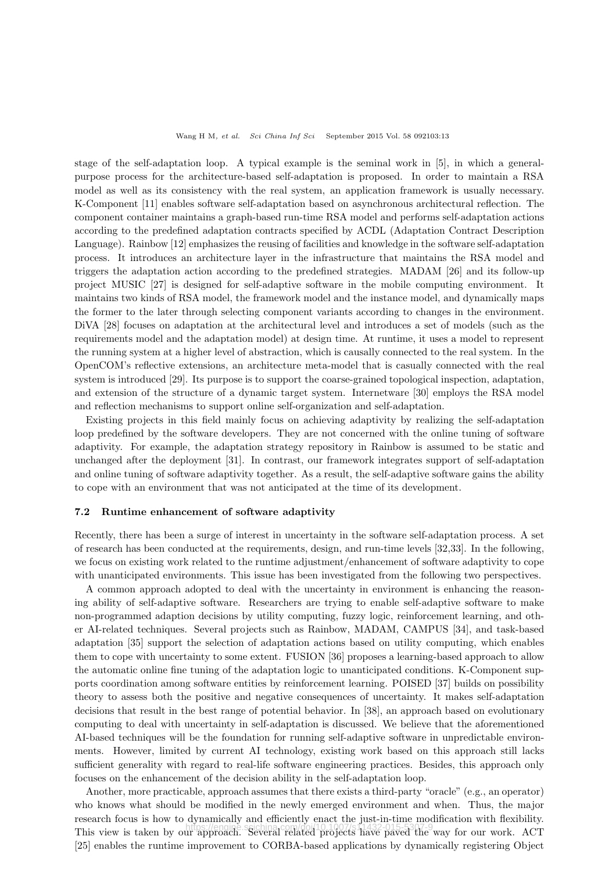stage of the self-adaptation loop. A typical example is the seminal work in [5], in which a generalpurpose process for the architecture-based self-adaptation is proposed. In order to maintain a RSA model as well as its consistency with the real system, an application framework is usually necessary. K-Component [11] enables software self-adaptation based on asynchronous architectural reflection. The component container maintains a graph-based run-time RSA model and performs self-adaptation actions according to the predefined adaptation contracts specified by ACDL (Adaptation Contract Description Language). Rainbow [12] emphasizes the reusing of facilities and knowledge in the software self-adaptation process. It introduces an architecture layer in the infrastructure that maintains the RSA model and triggers the adaptation action according to the predefined strategies. MADAM [26] and its follow-up project MUSIC [27] is designed for self-adaptive software in the mobile computing environment. It maintains two kinds of RSA model, the framework model and the instance model, and dynamically maps the former to the later through selecting component variants according to changes in the environment. DiVA [28] focuses on adaptation at the architectural level and introduces a set of models (such as the requirements model and the adaptation model) at design time. At runtime, it uses a model to represent the running system at a higher level of abstraction, which is causally connected to the real system. In the OpenCOM's reflective extensions, an architecture meta-model that is casually connected with the real system is introduced [29]. Its purpose is to support the coarse-grained topological inspection, adaptation, and extension of the structure of a dynamic target system. Internetware [30] employs the RSA model and reflection mechanisms to support online self-organization and self-adaptation.

Existing projects in this field mainly focus on achieving adaptivity by realizing the self-adaptation loop predefined by the software developers. They are not concerned with the online tuning of software adaptivity. For example, the adaptation strategy repository in Rainbow is assumed to be static and unchanged after the deployment [31]. In contrast, our framework integrates support of self-adaptation and online tuning of software adaptivity together. As a result, the self-adaptive software gains the ability to cope with an environment that was not anticipated at the time of its development.

#### 7.2 Runtime enhancement of software adaptivity

Recently, there has been a surge of interest in uncertainty in the software self-adaptation process. A set of research has been conducted at the requirements, design, and run-time levels [32,33]. In the following, we focus on existing work related to the runtime adjustment/enhancement of software adaptivity to cope with unanticipated environments. This issue has been investigated from the following two perspectives.

A common approach adopted to deal with the uncertainty in environment is enhancing the reasoning ability of self-adaptive software. Researchers are trying to enable self-adaptive software to make non-programmed adaption decisions by utility computing, fuzzy logic, reinforcement learning, and other AI-related techniques. Several projects such as Rainbow, MADAM, CAMPUS [34], and task-based adaptation [35] support the selection of adaptation actions based on utility computing, which enables them to cope with uncertainty to some extent. FUSION [36] proposes a learning-based approach to allow the automatic online fine tuning of the adaptation logic to unanticipated conditions. K-Component supports coordination among software entities by reinforcement learning. POISED [37] builds on possibility theory to assess both the positive and negative consequences of uncertainty. It makes self-adaptation decisions that result in the best range of potential behavior. In [38], an approach based on evolutionary computing to deal with uncertainty in self-adaptation is discussed. We believe that the aforementioned AI-based techniques will be the foundation for running self-adaptive software in unpredictable environments. However, limited by current AI technology, existing work based on this approach still lacks sufficient generality with regard to real-life software engineering practices. Besides, this approach only focuses on the enhancement of the decision ability in the self-adaptation loop.

Another, more practicable, approach assumes that there exists a third-party "oracle" (e.g., an operator) who knows what should be modified in the newly emerged environment and when. Thus, the major research focus is how to dynamically and efficiently enact the just-in-time modification with flexibility. https://engine.scichina.com/doi/10.1007/s11432-015-5307-9<br>This view is taken by our approach. Several related projects have paved the way for our work. ACT [25] enables the runtime improvement to CORBA-based applications by dynamically registering Object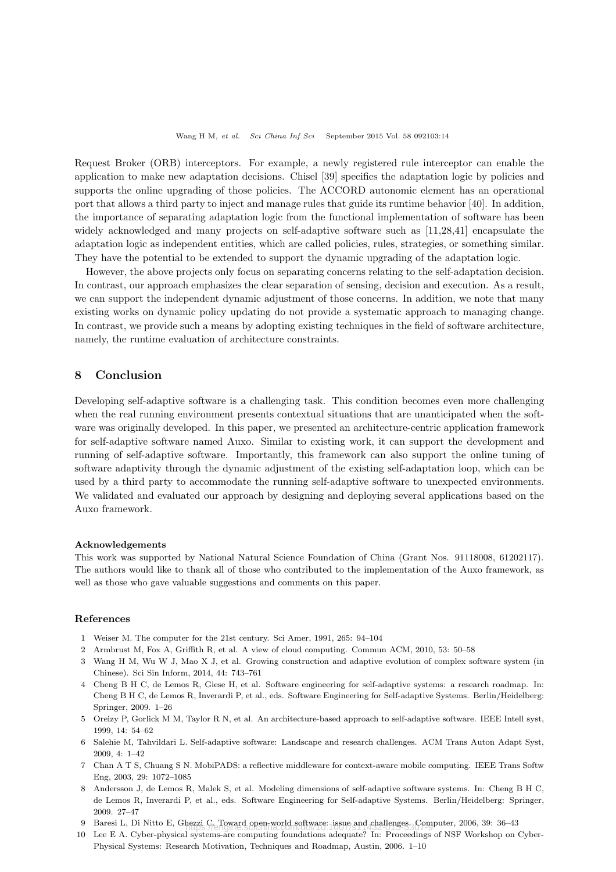Request Broker (ORB) interceptors. For example, a newly registered rule interceptor can enable the application to make new adaptation decisions. Chisel [39] specifies the adaptation logic by policies and supports the online upgrading of those policies. The ACCORD autonomic element has an operational port that allows a third party to inject and manage rules that guide its runtime behavior [40]. In addition, the importance of separating adaptation logic from the functional implementation of software has been widely acknowledged and many projects on self-adaptive software such as [11,28,41] encapsulate the adaptation logic as independent entities, which are called policies, rules, strategies, or something similar. They have the potential to be extended to support the dynamic upgrading of the adaptation logic.

However, the above projects only focus on separating concerns relating to the self-adaptation decision. In contrast, our approach emphasizes the clear separation of sensing, decision and execution. As a result, we can support the independent dynamic adjustment of those concerns. In addition, we note that many existing works on dynamic policy updating do not provide a systematic approach to managing change. In contrast, we provide such a means by adopting existing techniques in the field of software architecture, namely, the runtime evaluation of architecture constraints.

## 8 Conclusion

Developing self-adaptive software is a challenging task. This condition becomes even more challenging when the real running environment presents contextual situations that are unanticipated when the software was originally developed. In this paper, we presented an architecture-centric application framework for self-adaptive software named Auxo. Similar to existing work, it can support the development and running of self-adaptive software. Importantly, this framework can also support the online tuning of software adaptivity through the dynamic adjustment of the existing self-adaptation loop, which can be used by a third party to accommodate the running self-adaptive software to unexpected environments. We validated and evaluated our approach by designing and deploying several applications based on the Auxo framework.

#### Acknowledgements

This work was supported by National Natural Science Foundation of China (Grant Nos. 91118008, 61202117). The authors would like to thank all of those who contributed to the implementation of the Auxo framework, as well as those who gave valuable suggestions and comments on this paper.

#### References

- 1 Weiser M. The computer for the 21st century. Sci Amer, 1991, 265: 94–104
- 2 Armbrust M, Fox A, Griffith R, et al. A view of cloud computing. Commun ACM, 2010, 53: 50–58
- 3 Wang H M, Wu W J, Mao X J, et al. Growing construction and adaptive evolution of complex software system (in Chinese). Sci Sin Inform, 2014, 44: 743–761
- 4 Cheng B H C, de Lemos R, Giese H, et al. Software engineering for self-adaptive systems: a research roadmap. In: Cheng B H C, de Lemos R, Inverardi P, et al., eds. Software Engineering for Self-adaptive Systems. Berlin/Heidelberg: Springer, 2009. 1–26
- 5 Oreizy P, Gorlick M M, Taylor R N, et al. An architecture-based approach to self-adaptive software. IEEE Intell syst, 1999, 14: 54–62
- 6 Salehie M, Tahvildari L. Self-adaptive software: Landscape and research challenges. ACM Trans Auton Adapt Syst, 2009, 4: 1–42
- 7 Chan A T S, Chuang S N. MobiPADS: a reflective middleware for context-aware mobile computing. IEEE Trans Softw Eng, 2003, 29: 1072–1085
- 8 Andersson J, de Lemos R, Malek S, et al. Modeling dimensions of self-adaptive software systems. In: Cheng B H C, de Lemos R, Inverardi P, et al., eds. Software Engineering for Self-adaptive Systems. Berlin/Heidelberg: Springer, 2009. 27–47
- 9 Baresi L, Di Nitto E, Ghezzi C. Toward open-world software: issue and challenges. Computer, 2006, 39: 36–43<br>
1999 Computer, 2006, 39: 36–43
- 10 Lee E A. Cyber-physical systems-are computing foundations adequate? In: Proceedings of NSF Workshop on Cyber-Physical Systems: Research Motivation, Techniques and Roadmap, Austin, 2006. 1–10